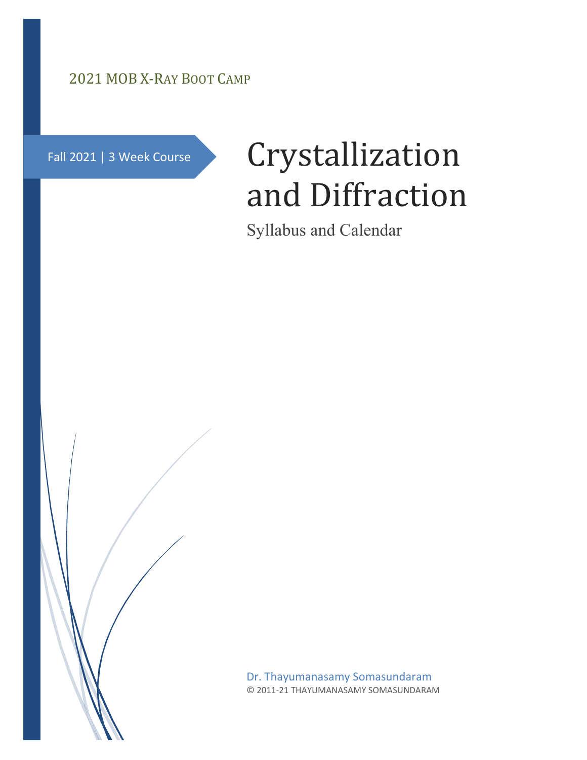## 2021 MOB X-RAY BOOT CAMP

Fall 2021 | 3 Week Course

# Crystallization and Diffraction

Syllabus and Calendar

Dr. Thayumanasamy Somasundaram © 2011-21 THAYUMANASAMY SOMASUNDARAM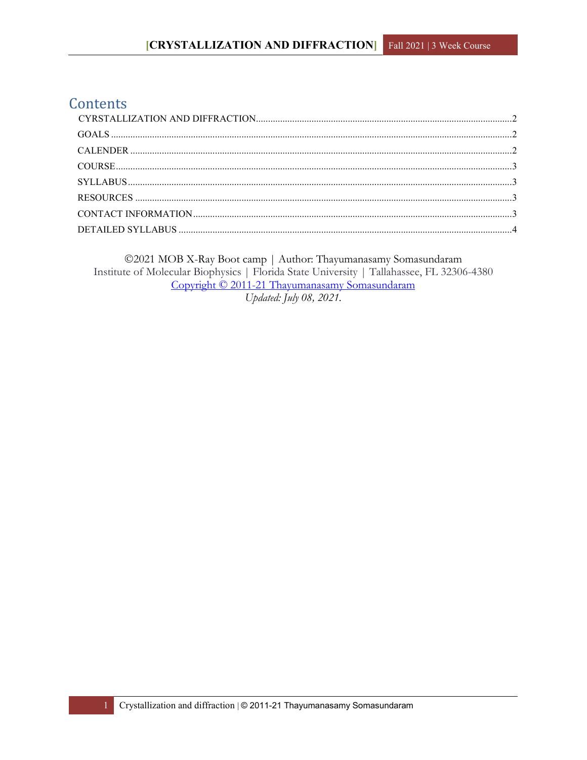## Contents

©2021 MOB X-Ray Boot camp | Author: Thayumanasamy Somasundaram Institute of Molecular Biophysics | Florida State University | Tallahassee, FL 32306-4380 Copyright © 2011-21 Thayumanasamy Somasundaram Updated: July 08, 2021.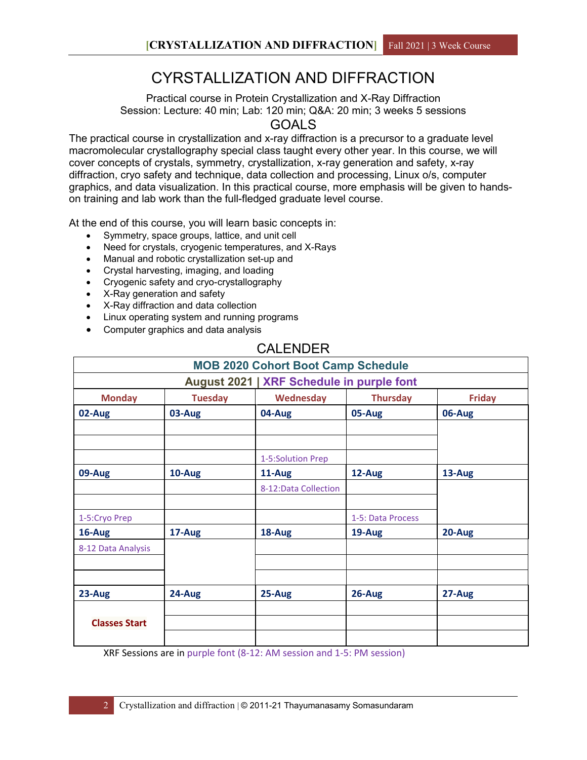# CYRSTALLIZATION AND DIFFRACTION

<span id="page-2-0"></span>Practical course in Protein Crystallization and X-Ray Diffraction Session: Lecture: 40 min; Lab: 120 min; Q&A: 20 min; 3 weeks 5 sessions GOALS

<span id="page-2-1"></span>The practical course in crystallization and x-ray diffraction is a precursor to a graduate level macromolecular crystallography special class taught every other year. In this course, we will cover concepts of crystals, symmetry, crystallization, x-ray generation and safety, x-ray diffraction, cryo safety and technique, data collection and processing, Linux o/s, computer graphics, and data visualization. In this practical course, more emphasis will be given to handson training and lab work than the full-fledged graduate level course.

At the end of this course, you will learn basic concepts in:

- Symmetry, space groups, lattice, and unit cell
- Need for crystals, cryogenic temperatures, and X-Rays
- Manual and robotic crystallization set-up and
- Crystal harvesting, imaging, and loading
- Cryogenic safety and cryo-crystallography
- X-Ray generation and safety
- X-Ray diffraction and data collection
- Linux operating system and running programs
- Computer graphics and data analysis

## CALENDER

<span id="page-2-2"></span>

| <b>MOB 2020 Cohort Boot Camp Schedule</b> |                |                       |                   |               |  |  |
|-------------------------------------------|----------------|-----------------------|-------------------|---------------|--|--|
| August 2021   XRF Schedule in purple font |                |                       |                   |               |  |  |
| <b>Monday</b>                             | <b>Tuesday</b> | Wednesday             | <b>Thursday</b>   | <b>Friday</b> |  |  |
| 02-Aug                                    | 03-Aug         | 04-Aug                | 05-Aug            | 06-Aug        |  |  |
|                                           |                |                       |                   |               |  |  |
|                                           |                |                       |                   |               |  |  |
|                                           |                | 1-5:Solution Prep     |                   |               |  |  |
| 09-Aug                                    | 10-Aug         | 11-Aug                | 12-Aug            | 13-Aug        |  |  |
|                                           |                | 8-12: Data Collection |                   |               |  |  |
|                                           |                |                       |                   |               |  |  |
| 1-5:Cryo Prep                             |                |                       | 1-5: Data Process |               |  |  |
| 16-Aug                                    | 17-Aug         | 18-Aug                | 19-Aug            | 20-Aug        |  |  |
| 8-12 Data Analysis                        |                |                       |                   |               |  |  |
|                                           |                |                       |                   |               |  |  |
|                                           |                |                       |                   |               |  |  |
| 23-Aug                                    | 24-Aug         | 25-Aug                | 26-Aug            | 27-Aug        |  |  |
|                                           |                |                       |                   |               |  |  |
| <b>Classes Start</b>                      |                |                       |                   |               |  |  |
|                                           |                |                       |                   |               |  |  |

XRF Sessions are in purple font (8-12: AM session and 1-5: PM session)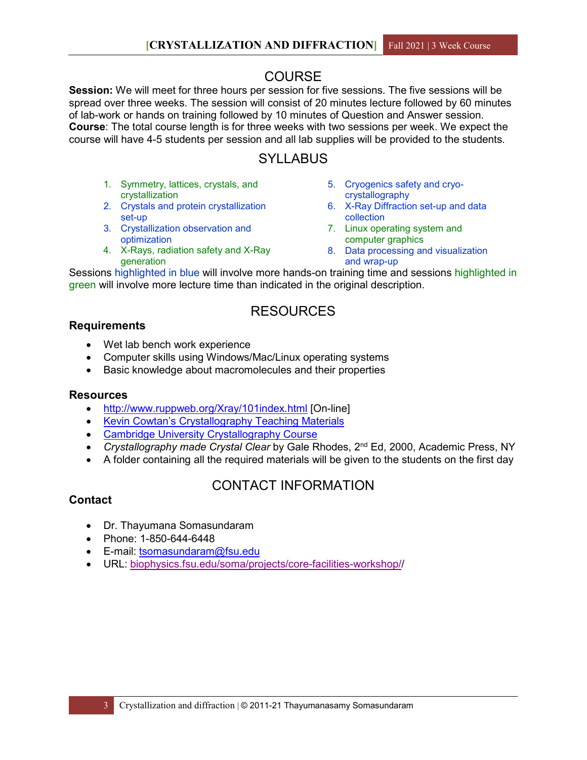## COURSE

<span id="page-3-0"></span>**Session:** We will meet for three hours per session for five sessions. The five sessions will be spread over three weeks. The session will consist of 20 minutes lecture followed by 60 minutes of lab-work or hands on training followed by 10 minutes of Question and Answer session. **Course**: The total course length is for three weeks with two sessions per week. We expect the course will have 4-5 students per session and all lab supplies will be provided to the students.

## **SYLLABUS**

- <span id="page-3-1"></span>1. Symmetry, lattices, crystals, and crystallization
- 2. Crystals and protein crystallization set-up
- 3. Crystallization observation and optimization
- 4. X-Rays, radiation safety and X-Ray generation
- 5. Cryogenics safety and cryocrystallography
- 6. X-Ray Diffraction set-up and data collection
- 7. Linux operating system and computer graphics
- 8. Data processing and visualization and wrap-up

Sessions highlighted in blue will involve more hands-on training time and sessions highlighted in green will involve more lecture time than indicated in the original description.

## RESOURCES

#### <span id="page-3-2"></span>**Requirements**

- Wet lab bench work experience
- Computer skills using Windows/Mac/Linux operating systems
- Basic knowledge about macromolecules and their properties

#### **Resources**

- <http://www.ruppweb.org/Xray/101index.html> [On-line]
- [Kevin Cowtan's Crystallography](http://www.ysbl.york.ac.uk/%7Ecowtan/fourier/fourier.html) Teaching Materials
- [Cambridge University Crystallography Course](http://www-structmed.cimr.cam.ac.uk/course.html)
- *Crystallography made Crystal Clear* by Gale Rhodes, 2nd Ed, 2000, Academic Press, NY
- A folder containing all the required materials will be given to the students on the first day

## CONTACT INFORMATION

#### <span id="page-3-3"></span>**Contact**

- Dr. Thayumana Somasundaram
- Phone: 1-850-644-6448
- E-mail: [tsomasundaram@fsu.edu](mailto:tsomasundaram@fsu.edu)
- URL: [biophysics.fsu.edu/soma/projects/core-facilities-workshop//](http://biophysics.fsu.edu/soma/projects/core-facilities-workshop/)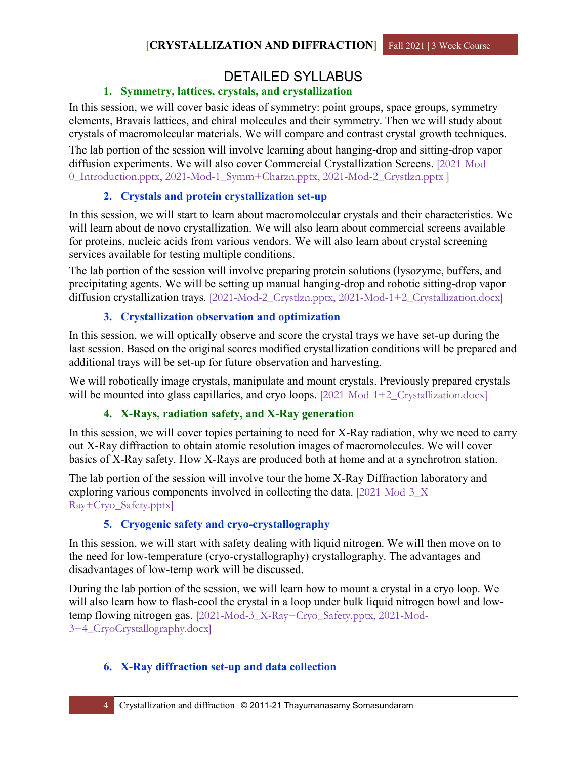## DETAILED SYLLABUS

## **1. Symmetry, lattices, crystals, and crystallization**

<span id="page-4-0"></span>In this session, we will cover basic ideas of symmetry: point groups, space groups, symmetry elements, Bravais lattices, and chiral molecules and their symmetry. Then we will study about crystals of macromolecular materials. We will compare and contrast crystal growth techniques.

The lab portion of the session will involve learning about hanging-drop and sitting-drop vapor diffusion experiments. We will also cover Commercial Crystallization Screens. [2021-Mod-0\_Introduction.pptx, 2021-Mod-1\_Symm+Charzn.pptx, 2021-Mod-2\_Crystlzn.pptx ]

### **2. Crystals and protein crystallization set-up**

In this session, we will start to learn about macromolecular crystals and their characteristics. We will learn about de novo crystallization. We will also learn about commercial screens available for proteins, nucleic acids from various vendors. We will also learn about crystal screening services available for testing multiple conditions.

The lab portion of the session will involve preparing protein solutions (lysozyme, buffers, and precipitating agents. We will be setting up manual hanging-drop and robotic sitting-drop vapor diffusion crystallization trays. [2021-Mod-2\_Crystlzn.pptx, 2021-Mod-1+2\_Crystallization.docx]

## **3. Crystallization observation and optimization**

In this session, we will optically observe and score the crystal trays we have set-up during the last session. Based on the original scores modified crystallization conditions will be prepared and additional trays will be set-up for future observation and harvesting.

We will robotically image crystals, manipulate and mount crystals. Previously prepared crystals will be mounted into glass capillaries, and cryo loops. [2021-Mod-1+2\_Crystallization.docx]

## **4. X-Rays, radiation safety, and X-Ray generation**

In this session, we will cover topics pertaining to need for X-Ray radiation, why we need to carry out X-Ray diffraction to obtain atomic resolution images of macromolecules. We will cover basics of X-Ray safety. How X-Rays are produced both at home and at a synchrotron station.

The lab portion of the session will involve tour the home X-Ray Diffraction laboratory and exploring various components involved in collecting the data. [2021-Mod-3\_X-Ray+Cryo\_Safety.pptx]

## **5. Cryogenic safety and cryo-crystallography**

In this session, we will start with safety dealing with liquid nitrogen. We will then move on to the need for low-temperature (cryo-crystallography) crystallography. The advantages and disadvantages of low-temp work will be discussed.

During the lab portion of the session, we will learn how to mount a crystal in a cryo loop. We will also learn how to flash-cool the crystal in a loop under bulk liquid nitrogen bowl and lowtemp flowing nitrogen gas. [2021-Mod-3\_X-Ray+Cryo\_Safety.pptx, 2021-Mod-3+4\_CryoCrystallography.docx]

## **6. X-Ray diffraction set-up and data collection**